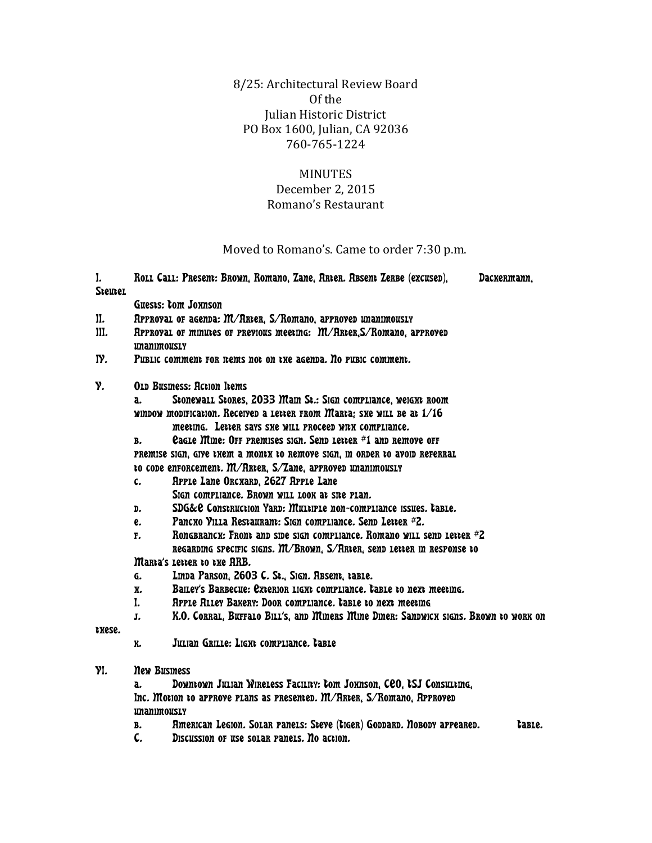8/25: Architectural Review Board Of the Julian Historic District PO Box 1600, Julian, CA 92036 760-765-1224

## MINUTES

## December 2, 2015 Romano's Restaurant

Moved to Romano's. Came to order 7:30 p.m.

| I.<br><b>Steutel</b> |                                                                                     | Roll Call: Present: Brown, Romano, Zane, Arter. Absent Zerbe (excused),              | Dackermann, |
|----------------------|-------------------------------------------------------------------------------------|--------------------------------------------------------------------------------------|-------------|
|                      | Guests: tom Joxnson                                                                 |                                                                                      |             |
| II.                  | RPPROVAL OF AGENDA: M/RRter, S/Romano, aPPROVED UNANIMOUSLY                         |                                                                                      |             |
| III.                 | RPPROVAL OF MINICES OF PREVIOUS meetIng: M/RRter, S/Romano, aPPROVED<br>unanimously |                                                                                      |             |
| IY.                  | PUBLIC COMMENT FOR ITEMS not on the agenda. No PUBIC COMMENT.                       |                                                                                      |             |
| Y.                   | <b>OLD Busmess: Action Items</b>                                                    |                                                                                      |             |
|                      | Stonewall Stores, 2033 Main St.: Sign compliance, weight Room<br>a.                 |                                                                                      |             |
|                      | window modification. Received a letter from Marta; sxe will be at 1/16              |                                                                                      |             |
|                      |                                                                                     | meeting. Letter says ske will proceed with compliance.                               |             |
|                      | В.                                                                                  | eagle Mine: OFF PRemises sign. Send letter #1 and remove off                         |             |
|                      | PREMISE SIGN, GIVE THEM a MONTH TO REMOYE SIGN, IN ORDER TO AVOID REFERRAL          |                                                                                      |             |
|                      | to code enforcement. M/RRter, S/Zane, approved unanimously                          |                                                                                      |             |
|                      | c.                                                                                  | RPPLe Lane ORCXARD, 2627 RPPLe Lane                                                  |             |
|                      |                                                                                     | SIGN COMPLIANCE. BROWN WILL LOOK At SITE PLAN.                                       |             |
|                      | D.                                                                                  | SDG&C Construction Yard: Multiple non-compliance issues. table.                      |             |
|                      | e.                                                                                  | Pancxo Villa Restaurant: Sign compliance. Send Letter #2.                            |             |
|                      | Rongbrancx: Front and side sign compliance. Romano will send letter #2<br>F.        |                                                                                      |             |
|                      | Regarding specific signs. M/Brown, S/Rrier, send letter in response to              |                                                                                      |             |
|                      | Marta's Letter to the ARB.                                                          |                                                                                      |             |
|                      | G.                                                                                  | Linda Parson, 2603 C. St., Sign. Absent, table.                                      |             |
|                      | X.                                                                                  | Balley's Barbecue: Exterior LIGNt compliance. table to next meeting.                 |             |
|                      | I.                                                                                  | RPPLe Riley Bakery: Door compliance. table to next meeting                           |             |
|                      | J.                                                                                  | K.O. CORRAL, BUFFALO BILL'S, and Miners Mine Diner: Sandwick signs. Brown to work on |             |
| LXese.               |                                                                                     |                                                                                      |             |
|                      | K.                                                                                  | Julian Grille: Ligxt compliance. table                                               |             |
| YI.                  | <b>New Business</b>                                                                 |                                                                                      |             |
|                      | a.                                                                                  | Downtown Julian Wireless Facility: tom Joxnson, COO, tSJ Consulting,                 |             |
|                      | Inc. Motion to approve plans as presented. M/RRter, S/Romano, Approved              |                                                                                      |             |
|                      | unanimously                                                                         |                                                                                      |             |
|                      | В.                                                                                  | American Legion. Solar panels: Steve (tiger) Goddard. Nobody appeared.               | table.      |
|                      | C.                                                                                  | Discussion of use solar panels. No action.                                           |             |
|                      |                                                                                     |                                                                                      |             |
|                      |                                                                                     |                                                                                      |             |